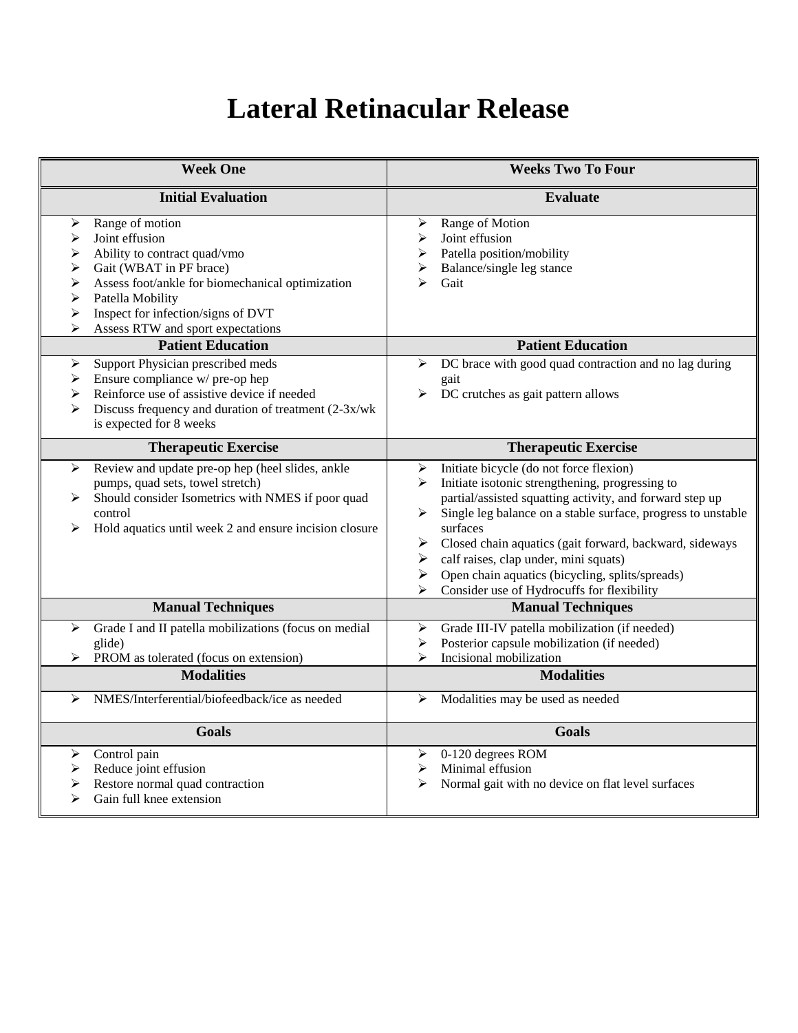## **Lateral Retinacular Release**

| <b>Week One</b>                                                                                                                                                                                                                                                                         | <b>Weeks Two To Four</b>                                                                                                                                                                                                                                                                                                                                                                                                                                                   |
|-----------------------------------------------------------------------------------------------------------------------------------------------------------------------------------------------------------------------------------------------------------------------------------------|----------------------------------------------------------------------------------------------------------------------------------------------------------------------------------------------------------------------------------------------------------------------------------------------------------------------------------------------------------------------------------------------------------------------------------------------------------------------------|
| <b>Initial Evaluation</b>                                                                                                                                                                                                                                                               | <b>Evaluate</b>                                                                                                                                                                                                                                                                                                                                                                                                                                                            |
| Range of motion<br>➤<br>Joint effusion<br>➤<br>Ability to contract quad/vmo<br>➤<br>Gait (WBAT in PF brace)<br>➤<br>➤<br>Assess foot/ankle for biomechanical optimization<br>➤<br>Patella Mobility<br>➤<br>Inspect for infection/signs of DVT<br>Assess RTW and sport expectations<br>⋗ | Range of Motion<br>➤<br>Joint effusion<br>➤<br>Patella position/mobility<br>⋗<br>Balance/single leg stance<br>Gait<br>↘                                                                                                                                                                                                                                                                                                                                                    |
| <b>Patient Education</b>                                                                                                                                                                                                                                                                | <b>Patient Education</b>                                                                                                                                                                                                                                                                                                                                                                                                                                                   |
| Support Physician prescribed meds<br>➤<br>Ensure compliance w/ pre-op hep<br>➤<br>Reinforce use of assistive device if needed<br>➤<br>Discuss frequency and duration of treatment (2-3x/wk)<br>➤<br>is expected for 8 weeks                                                             | DC brace with good quad contraction and no lag during<br>➤<br>gait<br>DC crutches as gait pattern allows<br>➤                                                                                                                                                                                                                                                                                                                                                              |
| <b>Therapeutic Exercise</b>                                                                                                                                                                                                                                                             | <b>Therapeutic Exercise</b>                                                                                                                                                                                                                                                                                                                                                                                                                                                |
| Review and update pre-op hep (heel slides, ankle<br>➤<br>pumps, quad sets, towel stretch)<br>Should consider Isometrics with NMES if poor quad<br>➤<br>control<br>Hold aquatics until week 2 and ensure incision closure<br>➤                                                           | Initiate bicycle (do not force flexion)<br>➤<br>Initiate isotonic strengthening, progressing to<br>≻<br>partial/assisted squatting activity, and forward step up<br>Single leg balance on a stable surface, progress to unstable<br>➤<br>surfaces<br>➤<br>Closed chain aquatics (gait forward, backward, sideways<br>calf raises, clap under, mini squats)<br>➤<br>Open chain aquatics (bicycling, splits/spreads)<br>➤<br>Consider use of Hydrocuffs for flexibility<br>⋗ |
| <b>Manual Techniques</b>                                                                                                                                                                                                                                                                | <b>Manual Techniques</b>                                                                                                                                                                                                                                                                                                                                                                                                                                                   |
| Grade I and II patella mobilizations (focus on medial<br>➤<br>glide)<br>PROM as tolerated (focus on extension)<br><b>Modalities</b>                                                                                                                                                     | Grade III-IV patella mobilization (if needed)<br>➤<br>Posterior capsule mobilization (if needed)<br>➤<br>➤<br>Incisional mobilization<br><b>Modalities</b>                                                                                                                                                                                                                                                                                                                 |
| NMES/Interferential/biofeedback/ice as needed                                                                                                                                                                                                                                           |                                                                                                                                                                                                                                                                                                                                                                                                                                                                            |
| ➤                                                                                                                                                                                                                                                                                       | Modalities may be used as needed<br>➤                                                                                                                                                                                                                                                                                                                                                                                                                                      |
| <b>Goals</b>                                                                                                                                                                                                                                                                            | <b>Goals</b>                                                                                                                                                                                                                                                                                                                                                                                                                                                               |
| Control pain<br>⋗<br>Reduce joint effusion<br>➤<br>Restore normal quad contraction<br>➤<br>⋗<br>Gain full knee extension                                                                                                                                                                | 0-120 degrees ROM<br>⋗<br>Minimal effusion<br>➤<br>➤<br>Normal gait with no device on flat level surfaces                                                                                                                                                                                                                                                                                                                                                                  |